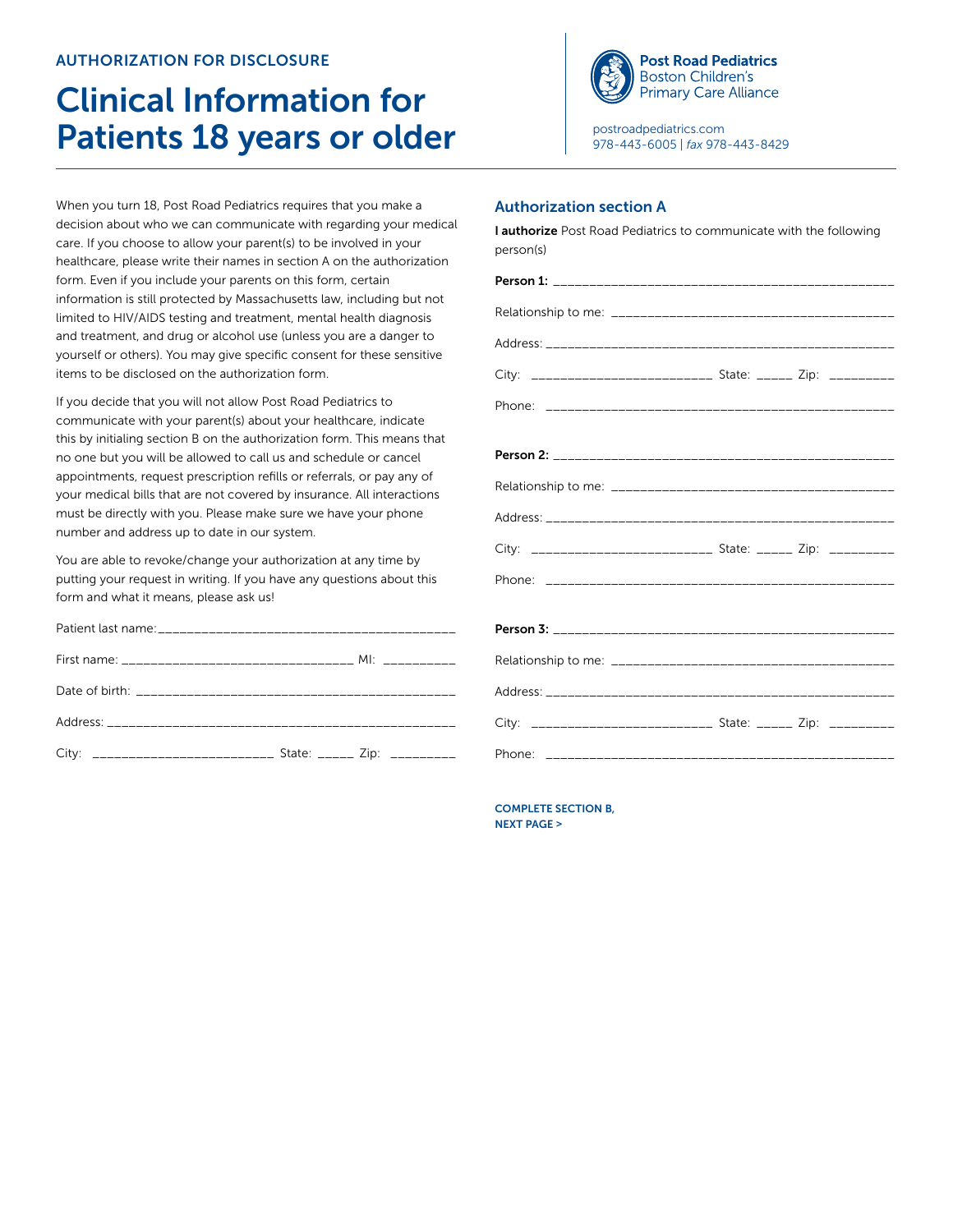## **AUTHORIZATION FOR DISCLOSURE**

# Clinical Information for Patients 18 years or older

When you turn 18, Post Road Pediatrics requires that you make a decision about who we can communicate with regarding your medical care. If you choose to allow your parent(s) to be involved in your healthcare, please write their names in section A on the authorization form. Even if you include your parents on this form, certain information is still protected by Massachusetts law, including but not limited to HIV/AIDS testing and treatment, mental health diagnosis and treatment, and drug or alcohol use (unless you are a danger to yourself or others). You may give specific consent for these sensitive items to be disclosed on the authorization form.

If you decide that you will not allow Post Road Pediatrics to communicate with your parent(s) about your healthcare, indicate this by initialing section B on the authorization form. This means that no one but you will be allowed to call us and schedule or cancel appointments, request prescription refills or referrals, or pay any of your medical bills that are not covered by insurance. All interactions must be directly with you. Please make sure we have your phone number and address up to date in our system.

You are able to revoke/change your authorization at any time by putting your request in writing. If you have any questions about this form and what it means, please ask us!

| City: ______________________________ State: ______ Zip: __________ |  |
|--------------------------------------------------------------------|--|



[postroadpediatrics.com](http://postroadpediatrics.com) 978-443-6005 | *fax* 978-443-8429

### Authorization section A

| I authorize Post Road Pediatrics to communicate with the following<br>person(s) |  |  |
|---------------------------------------------------------------------------------|--|--|
|                                                                                 |  |  |
|                                                                                 |  |  |
|                                                                                 |  |  |
| City: ____________________________ State: ______ Zip: __________                |  |  |
|                                                                                 |  |  |
|                                                                                 |  |  |
|                                                                                 |  |  |
|                                                                                 |  |  |
| City: _____________________________ State: ______ Zip: _________                |  |  |
|                                                                                 |  |  |
|                                                                                 |  |  |
|                                                                                 |  |  |
|                                                                                 |  |  |
| City: ______________________________ State: ______ Zip: __________              |  |  |
|                                                                                 |  |  |

COMPLETE SECTION B, NEXT PAGE >